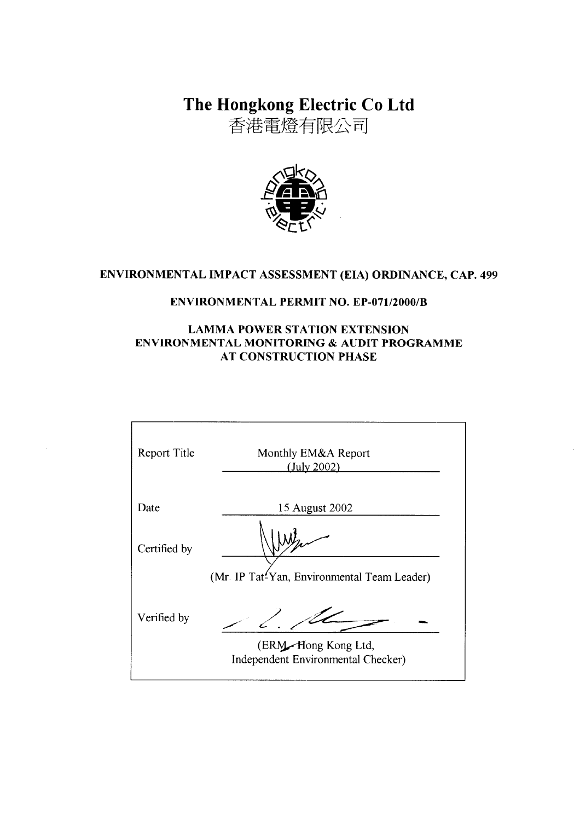The Hongkong Electric Co Ltd

香港電燈有限公司



# ENVIRONMENTAL IMPACT ASSESSMENT (EIA) ORDINANCE, CAP. 499

## **ENVIRONMENTAL PERMIT NO. EP-071/2000/B**

## **LAMMA POWER STATION EXTENSION** ENVIRONMENTAL MONITORING & AUDIT PROGRAMME **AT CONSTRUCTION PHASE**

| Report Title | Monthly EM&A Report<br>(July 2002)                        |
|--------------|-----------------------------------------------------------|
| Date         | 15 August 2002                                            |
| Certified by |                                                           |
|              | (Mr. IP Tat <sup>2</sup> Yan, Environmental Team Leader)  |
| Verified by  |                                                           |
|              | (ERM-Hong Kong Ltd,<br>Independent Environmental Checker) |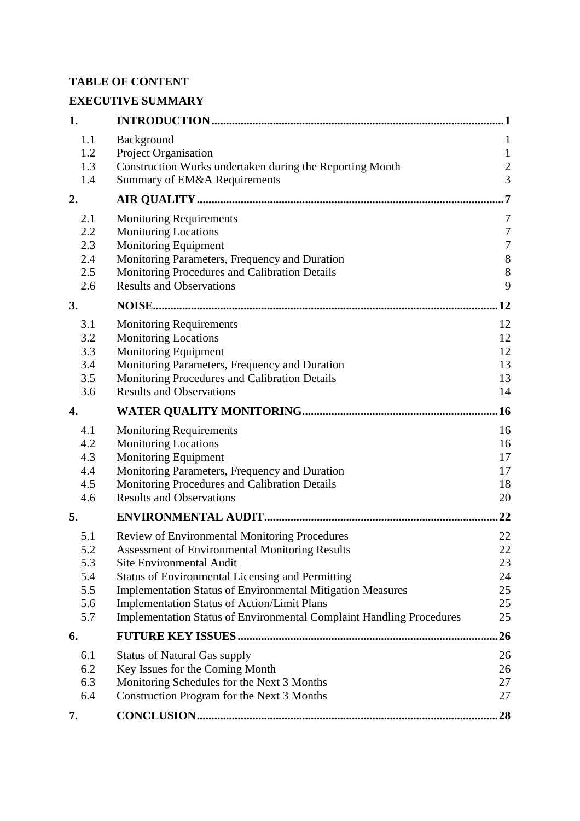# **TABLE OF CONTENT**

# **EXECUTIVE SUMMARY**

| 1.         |                                                                             | 1                |
|------------|-----------------------------------------------------------------------------|------------------|
| 1.1        | Background                                                                  | $\mathbf{1}$     |
| 1.2        | Project Organisation                                                        | $\mathbf{1}$     |
| 1.3        | Construction Works undertaken during the Reporting Month                    | $\overline{c}$   |
| 1.4        | Summary of EM&A Requirements                                                | $\overline{3}$   |
| 2.         |                                                                             | 7                |
| 2.1        | <b>Monitoring Requirements</b>                                              | 7                |
| 2.2        | <b>Monitoring Locations</b>                                                 | $\boldsymbol{7}$ |
| 2.3        | Monitoring Equipment                                                        | $\boldsymbol{7}$ |
| 2.4        | Monitoring Parameters, Frequency and Duration                               | $\,8\,$          |
| 2.5        | Monitoring Procedures and Calibration Details                               | 8                |
| 2.6        | <b>Results and Observations</b>                                             | 9                |
| 3.         |                                                                             | 12               |
| 3.1        | <b>Monitoring Requirements</b>                                              | 12               |
| 3.2        | <b>Monitoring Locations</b>                                                 | 12               |
| 3.3        | Monitoring Equipment                                                        | 12               |
| 3.4        | Monitoring Parameters, Frequency and Duration                               | 13               |
| 3.5        | Monitoring Procedures and Calibration Details                               | 13               |
| 3.6        | <b>Results and Observations</b>                                             | 14               |
| 4.         |                                                                             | .16              |
| 4.1        | <b>Monitoring Requirements</b>                                              | 16               |
| 4.2        | <b>Monitoring Locations</b>                                                 | 16               |
| 4.3        | <b>Monitoring Equipment</b>                                                 | 17               |
| 4.4        | Monitoring Parameters, Frequency and Duration                               | 17               |
| 4.5        | Monitoring Procedures and Calibration Details                               | 18               |
| 4.6        | <b>Results and Observations</b>                                             | 20               |
| 5.         |                                                                             | 22               |
| 5.1        | Review of Environmental Monitoring Procedures                               | 22               |
| 5.2        | <b>Assessment of Environmental Monitoring Results</b>                       | 22               |
| 5.3        | <b>Site Environmental Audit</b>                                             | 23               |
| 5.4        | <b>Status of Environmental Licensing and Permitting</b>                     | 24               |
| 5.5        | <b>Implementation Status of Environmental Mitigation Measures</b>           | 25               |
| 5.6<br>5.7 | <b>Implementation Status of Action/Limit Plans</b>                          | 25<br>25         |
|            | <b>Implementation Status of Environmental Complaint Handling Procedures</b> |                  |
| 6.         |                                                                             | 26               |
| 6.1        | <b>Status of Natural Gas supply</b>                                         | 26               |
| 6.2        | Key Issues for the Coming Month                                             | 26               |
| 6.3        | Monitoring Schedules for the Next 3 Months                                  | 27               |
| 6.4        | Construction Program for the Next 3 Months                                  | 27               |
| 7.         |                                                                             | 28               |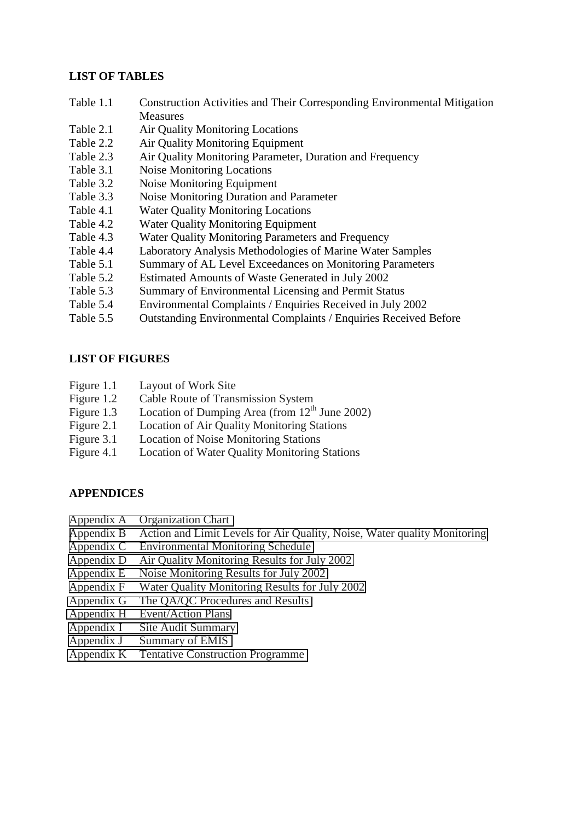### **LIST OF TABLES**

- Table 1.1 Construction Activities and Their Corresponding Environmental Mitigation **Measures**
- Table 2.1 Air Quality Monitoring Locations
- Table 2.2 Air Quality Monitoring Equipment
- Table 2.3 Air Quality Monitoring Parameter, Duration and Frequency
- Table 3.1 Noise Monitoring Locations
- Table 3.2 Noise Monitoring Equipment
- Table 3.3 Noise Monitoring Duration and Parameter
- Table 4.1 Water Quality Monitoring Locations
- Table 4.2 Water Quality Monitoring Equipment
- Table 4.3 Water Quality Monitoring Parameters and Frequency
- Table 4.4 Laboratory Analysis Methodologies of Marine Water Samples
- Table 5.1 Summary of AL Level Exceedances on Monitoring Parameters
- Table 5.2 Estimated Amounts of Waste Generated in July 2002
- Table 5.3 Summary of Environmental Licensing and Permit Status
- Table 5.4 Environmental Complaints / Enquiries Received in July 2002
- Table 5.5 Outstanding Environmental Complaints / Enquiries Received Before

#### **LIST OF FIGURES**

- Figure 1.1 Layout of Work Site
- Figure 1.2 Cable Route of Transmission System
- Figure 1.3 Location of Dumping Area (from  $12<sup>th</sup>$  June 2002)
- Figure 2.1 Location of Air Quality Monitoring Stations
- Figure 3.1 Location of Noise Monitoring Stations
- Figure 4.1 Location of Water Quality Monitoring Stations

#### **APPENDICES**

- Appendix A Organization Chart
- Appendix B Action and Limit Levels for Air Quality, Noise, Water quality Monitoring
- Appendix C Environmental Monitoring Schedule
- Appendix D Air Quality Monitoring Results for July 2002
- Appendix E Noise Monitoring Results for July 2002
- Appendix F Water Quality Monitoring Results for July 2002
- Appendix G The QA/QC Procedures and Results
- Appendix H Event/Action Plans
- Appendix I Site Audit Summary
- Appendix J Summary of EMIS
- Appendix K Tentative Construction Programme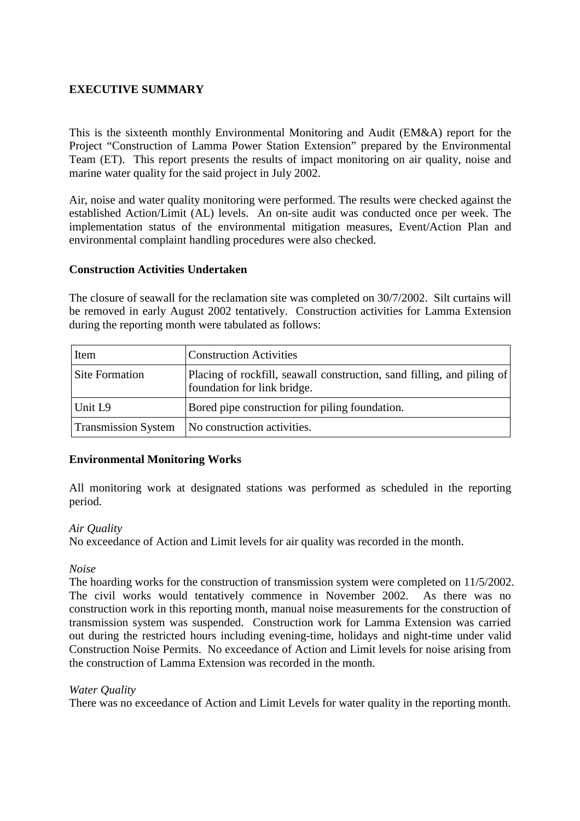## **EXECUTIVE SUMMARY**

This is the sixteenth monthly Environmental Monitoring and Audit (EM&A) report for the Project "Construction of Lamma Power Station Extension" prepared by the Environmental Team (ET). This report presents the results of impact monitoring on air quality, noise and marine water quality for the said project in July 2002.

Air, noise and water quality monitoring were performed. The results were checked against the established Action/Limit (AL) levels. An on-site audit was conducted once per week. The implementation status of the environmental mitigation measures, Event/Action Plan and environmental complaint handling procedures were also checked.

### **Construction Activities Undertaken**

The closure of seawall for the reclamation site was completed on 30/7/2002. Silt curtains will be removed in early August 2002 tentatively. Construction activities for Lamma Extension during the reporting month were tabulated as follows:

| Item                       | <b>Construction Activities</b>                                                                        |  |
|----------------------------|-------------------------------------------------------------------------------------------------------|--|
| <b>Site Formation</b>      | Placing of rockfill, seawall construction, sand filling, and piling of<br>foundation for link bridge. |  |
| Unit L <sub>9</sub>        | Bored pipe construction for piling foundation.                                                        |  |
| <b>Transmission System</b> | No construction activities.                                                                           |  |

#### **Environmental Monitoring Works**

All monitoring work at designated stations was performed as scheduled in the reporting period.

#### *Air Quality*

No exceedance of Action and Limit levels for air quality was recorded in the month.

#### *Noise*

The hoarding works for the construction of transmission system were completed on 11/5/2002. The civil works would tentatively commence in November 2002. As there was no construction work in this reporting month, manual noise measurements for the construction of transmission system was suspended. Construction work for Lamma Extension was carried out during the restricted hours including evening-time, holidays and night-time under valid Construction Noise Permits. No exceedance of Action and Limit levels for noise arising from the construction of Lamma Extension was recorded in the month.

#### *Water Quality*

There was no exceedance of Action and Limit Levels for water quality in the reporting month.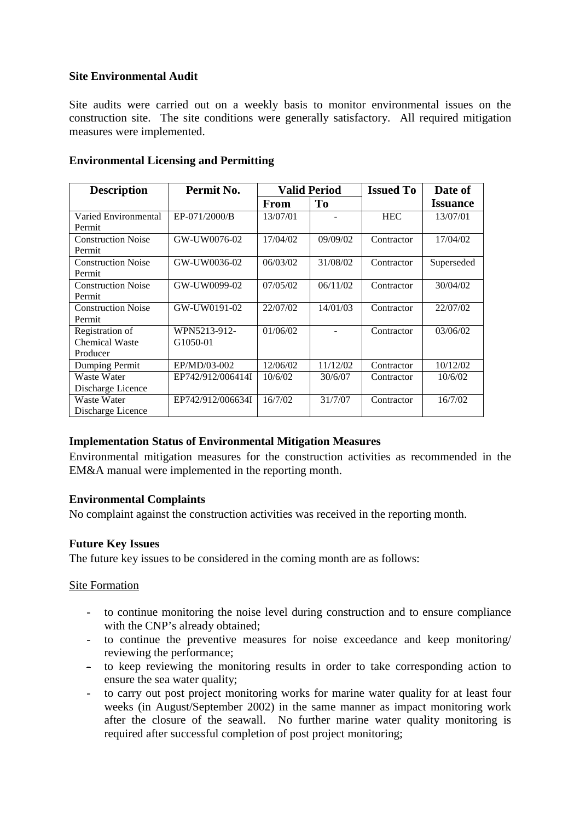## **Site Environmental Audit**

Site audits were carried out on a weekly basis to monitor environmental issues on the construction site. The site conditions were generally satisfactory. All required mitigation measures were implemented.

| <b>Description</b>        | Permit No.        | <b>Valid Period</b> |                | <b>Issued To</b> | Date of         |
|---------------------------|-------------------|---------------------|----------------|------------------|-----------------|
|                           |                   | <b>From</b>         | T <sub>0</sub> |                  | <b>Issuance</b> |
| Varied Environmental      | EP-071/2000/B     | 13/07/01            |                | <b>HEC</b>       | 13/07/01        |
| Permit                    |                   |                     |                |                  |                 |
| <b>Construction Noise</b> | GW-UW0076-02      | 17/04/02            | 09/09/02       | Contractor       | 17/04/02        |
| Permit                    |                   |                     |                |                  |                 |
| <b>Construction Noise</b> | GW-UW0036-02      | 06/03/02            | 31/08/02       | Contractor       | Superseded      |
| Permit                    |                   |                     |                |                  |                 |
| <b>Construction Noise</b> | GW-UW0099-02      | 07/05/02            | 06/11/02       | Contractor       | 30/04/02        |
| Permit                    |                   |                     |                |                  |                 |
| <b>Construction Noise</b> | GW-UW0191-02      | 22/07/02            | 14/01/03       | Contractor       | 22/07/02        |
| Permit                    |                   |                     |                |                  |                 |
| Registration of           | WPN5213-912-      | 01/06/02            |                | Contractor       | 03/06/02        |
| <b>Chemical Waste</b>     | G1050-01          |                     |                |                  |                 |
| Producer                  |                   |                     |                |                  |                 |
| Dumping Permit            | EP/MD/03-002      | 12/06/02            | 11/12/02       | Contractor       | 10/12/02        |
| Waste Water               | EP742/912/006414I | 10/6/02             | 30/6/07        | Contractor       | 10/6/02         |
| Discharge Licence         |                   |                     |                |                  |                 |
| Waste Water               | EP742/912/006634I | 16/7/02             | 31/7/07        | Contractor       | 16/7/02         |
| Discharge Licence         |                   |                     |                |                  |                 |

### **Environmental Licensing and Permitting**

#### **Implementation Status of Environmental Mitigation Measures**

Environmental mitigation measures for the construction activities as recommended in the EM&A manual were implemented in the reporting month.

#### **Environmental Complaints**

No complaint against the construction activities was received in the reporting month.

## **Future Key Issues**

The future key issues to be considered in the coming month are as follows:

#### Site Formation

- to continue monitoring the noise level during construction and to ensure compliance with the CNP's already obtained:
- to continue the preventive measures for noise exceedance and keep monitoring/ reviewing the performance;
- to keep reviewing the monitoring results in order to take corresponding action to ensure the sea water quality;
- to carry out post project monitoring works for marine water quality for at least four weeks (in August/September 2002) in the same manner as impact monitoring work after the closure of the seawall. No further marine water quality monitoring is required after successful completion of post project monitoring;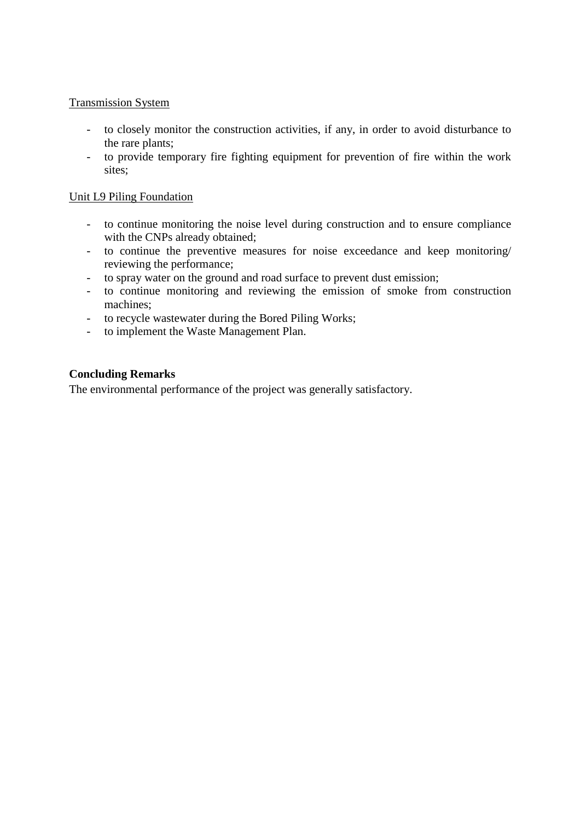### Transmission System

- to closely monitor the construction activities, if any, in order to avoid disturbance to the rare plants;
- to provide temporary fire fighting equipment for prevention of fire within the work sites;

#### Unit L9 Piling Foundation

- to continue monitoring the noise level during construction and to ensure compliance with the CNPs already obtained;
- to continue the preventive measures for noise exceedance and keep monitoring/ reviewing the performance;
- to spray water on the ground and road surface to prevent dust emission;
- to continue monitoring and reviewing the emission of smoke from construction machines;
- to recycle wastewater during the Bored Piling Works;
- to implement the Waste Management Plan.

### **Concluding Remarks**

The environmental performance of the project was generally satisfactory.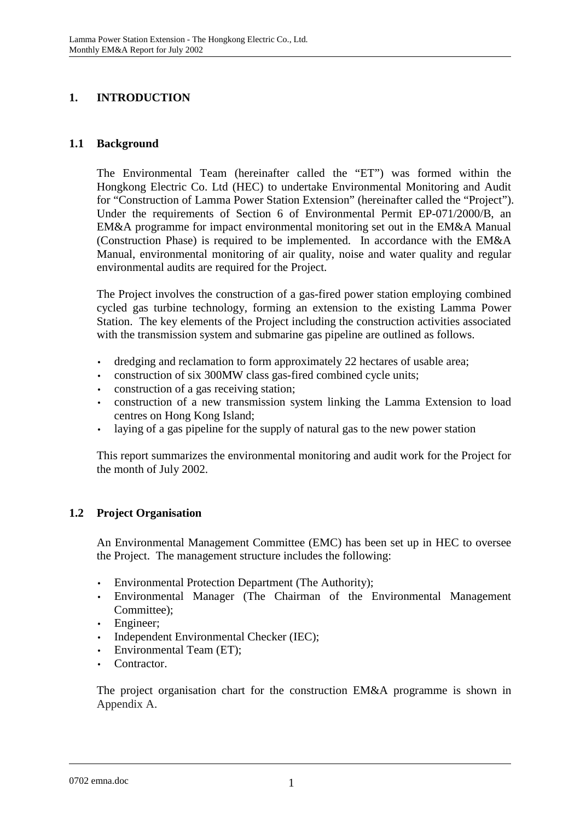# **1. INTRODUCTION**

## **1.1 Background**

The Environmental Team (hereinafter called the "ET") was formed within the Hongkong Electric Co. Ltd (HEC) to undertake Environmental Monitoring and Audit for "Construction of Lamma Power Station Extension" (hereinafter called the "Project"). Under the requirements of Section 6 of Environmental Permit EP-071/2000/B, an EM&A programme for impact environmental monitoring set out in the EM&A Manual (Construction Phase) is required to be implemented. In accordance with the EM&A Manual, environmental monitoring of air quality, noise and water quality and regular environmental audits are required for the Project.

The Project involves the construction of a gas-fired power station employing combined cycled gas turbine technology, forming an extension to the existing Lamma Power Station. The key elements of the Project including the construction activities associated with the transmission system and submarine gas pipeline are outlined as follows.

- dredging and reclamation to form approximately 22 hectares of usable area;
- construction of six 300MW class gas-fired combined cycle units;
- construction of a gas receiving station;
- construction of a new transmission system linking the Lamma Extension to load centres on Hong Kong Island;
- laying of a gas pipeline for the supply of natural gas to the new power station

This report summarizes the environmental monitoring and audit work for the Project for the month of July 2002.

# **1.2 Project Organisation**

An Environmental Management Committee (EMC) has been set up in HEC to oversee the Project. The management structure includes the following:

- Environmental Protection Department (The Authority);
- Environmental Manager (The Chairman of the Environmental Management Committee);
- Engineer;
- Independent Environmental Checker (IEC);
- Environmental Team (ET);
- Contractor.

The project organisation chart for the construction EM&A programme is shown in Appendix A.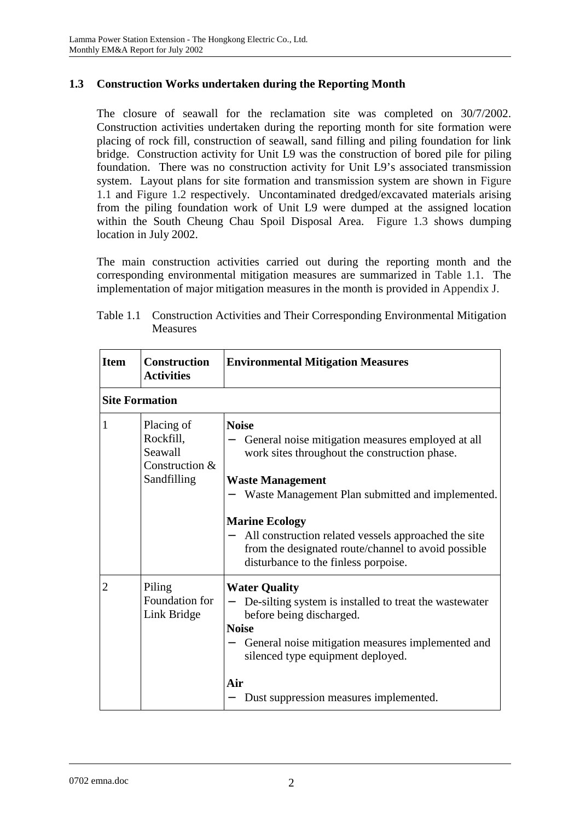# **1.3 Construction Works undertaken during the Reporting Month**

The closure of seawall for the reclamation site was completed on 30/7/2002. Construction activities undertaken during the reporting month for site formation were placing of rock fill, construction of seawall, sand filling and piling foundation for link bridge. Construction activity for Unit L9 was the construction of bored pile for piling foundation. There was no construction activity for Unit L9's associated transmission system. Layout plans for site formation and transmission system are shown in Figure 1.1 and Figure 1.2 respectively. Uncontaminated dredged/excavated materials arising from the piling foundation work of Unit L9 were dumped at the assigned location within the South Cheung Chau Spoil Disposal Area. Figure 1.3 shows dumping location in July 2002.

The main construction activities carried out during the reporting month and the corresponding environmental mitigation measures are summarized in Table 1.1. The implementation of major mitigation measures in the month is provided in Appendix J.

| <b>Item</b> | <b>Construction</b><br><b>Activities</b>                            | <b>Environmental Mitigation Measures</b>                                                                                                                                                                                                                                                                                                                                          |
|-------------|---------------------------------------------------------------------|-----------------------------------------------------------------------------------------------------------------------------------------------------------------------------------------------------------------------------------------------------------------------------------------------------------------------------------------------------------------------------------|
|             | <b>Site Formation</b>                                               |                                                                                                                                                                                                                                                                                                                                                                                   |
| 1           | Placing of<br>Rockfill,<br>Seawall<br>Construction &<br>Sandfilling | <b>Noise</b><br>General noise mitigation measures employed at all<br>work sites throughout the construction phase.<br><b>Waste Management</b><br>Waste Management Plan submitted and implemented.<br><b>Marine Ecology</b><br>All construction related vessels approached the site<br>from the designated route/channel to avoid possible<br>disturbance to the finless porpoise. |
| 2           | Piling<br>Foundation for<br>Link Bridge                             | <b>Water Quality</b><br>De-silting system is installed to treat the wastewater<br>before being discharged.<br><b>Noise</b><br>General noise mitigation measures implemented and<br>silenced type equipment deployed.<br>Air<br>Dust suppression measures implemented.                                                                                                             |

| Table 1.1 Construction Activities and Their Corresponding Environmental Mitigation |
|------------------------------------------------------------------------------------|
| Measures                                                                           |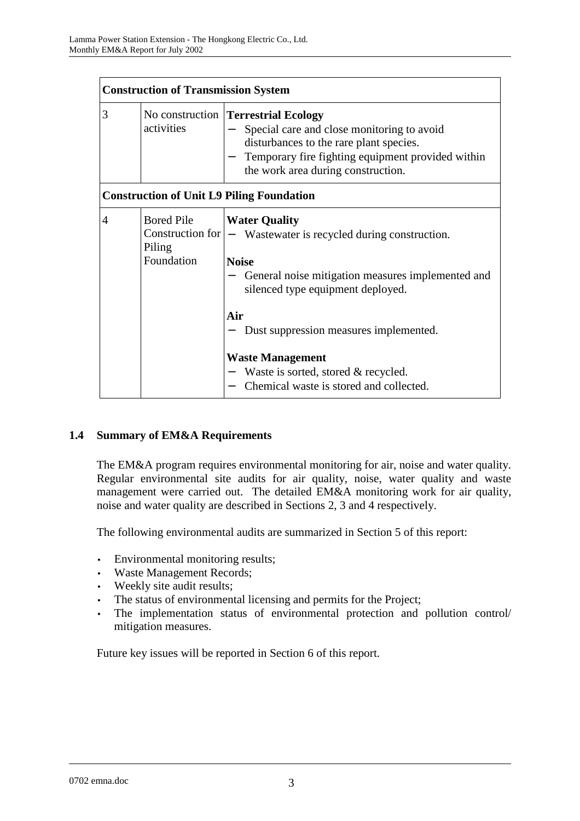|                | <b>Construction of Transmission System</b> |                                                                                                                                                                                                                                |  |  |
|----------------|--------------------------------------------|--------------------------------------------------------------------------------------------------------------------------------------------------------------------------------------------------------------------------------|--|--|
| 3              | activities                                 | No construction <b>Terrestrial Ecology</b><br>Special care and close monitoring to avoid<br>disturbances to the rare plant species.<br>Temporary fire fighting equipment provided within<br>the work area during construction. |  |  |
|                |                                            | <b>Construction of Unit L9 Piling Foundation</b>                                                                                                                                                                               |  |  |
| $\overline{4}$ | <b>Bored Pile</b><br>Piling<br>Foundation  | <b>Water Quality</b><br>Construction for $ -$ Wastewater is recycled during construction.<br><b>Noise</b><br>General noise mitigation measures implemented and<br>silenced type equipment deployed.                            |  |  |
|                |                                            | Air<br>Dust suppression measures implemented.                                                                                                                                                                                  |  |  |
|                |                                            | <b>Waste Management</b><br>Waste is sorted, stored & recycled.<br>Chemical waste is stored and collected.                                                                                                                      |  |  |

# **1.4 Summary of EM&A Requirements**

The EM&A program requires environmental monitoring for air, noise and water quality. Regular environmental site audits for air quality, noise, water quality and waste management were carried out. The detailed EM&A monitoring work for air quality, noise and water quality are described in Sections 2, 3 and 4 respectively.

The following environmental audits are summarized in Section 5 of this report:

- Environmental monitoring results;
- Waste Management Records;
- Weekly site audit results;
- The status of environmental licensing and permits for the Project;
- The implementation status of environmental protection and pollution control/ mitigation measures.

Future key issues will be reported in Section 6 of this report.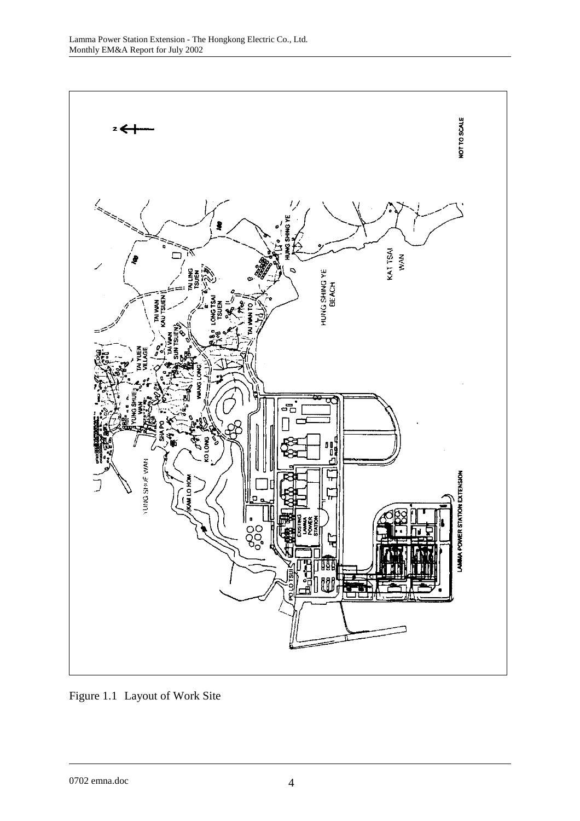

Figure 1.1 Layout of Work Site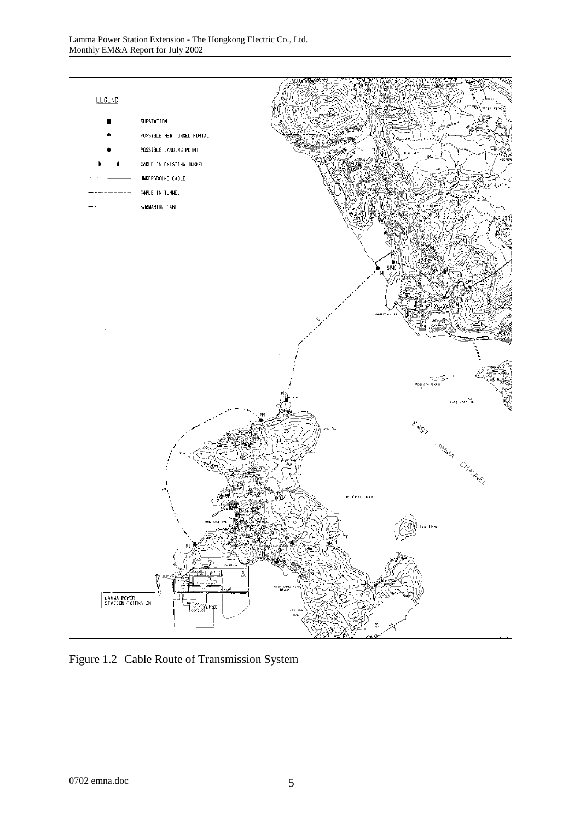

Figure 1.2 Cable Route of Transmission System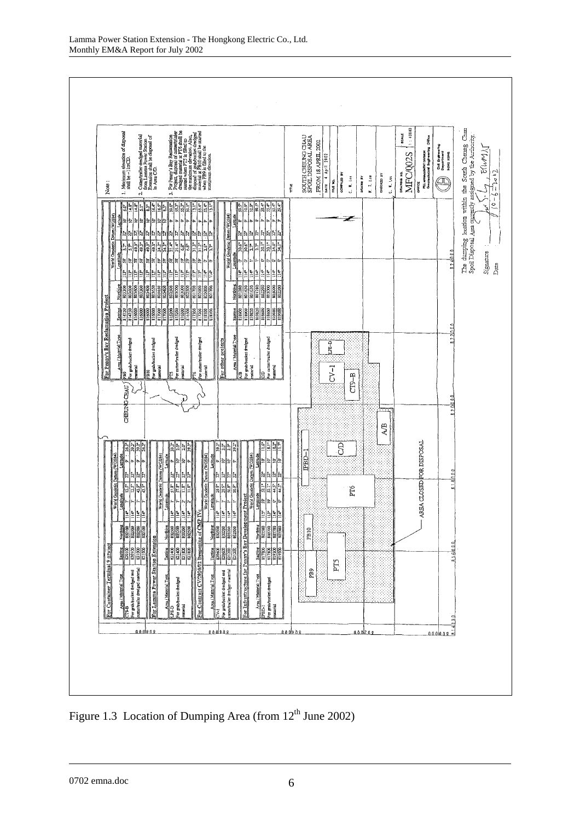

Figure 1.3 Location of Dumping Area (from  $12<sup>th</sup>$  June 2002)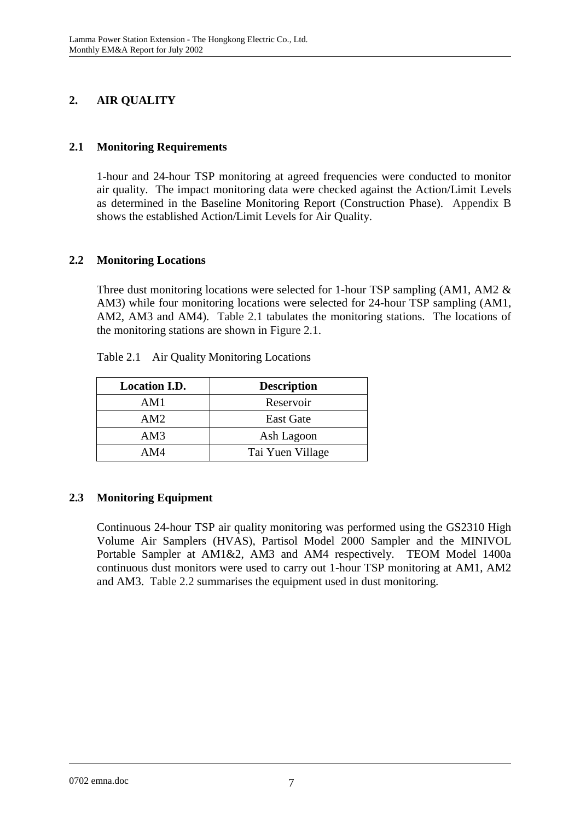# **2. AIR QUALITY**

# **2.1 Monitoring Requirements**

1-hour and 24-hour TSP monitoring at agreed frequencies were conducted to monitor air quality. The impact monitoring data were checked against the Action/Limit Levels as determined in the Baseline Monitoring Report (Construction Phase). Appendix B shows the established Action/Limit Levels for Air Quality.

# **2.2 Monitoring Locations**

Three dust monitoring locations were selected for 1-hour TSP sampling (AM1, AM2 & AM3) while four monitoring locations were selected for 24-hour TSP sampling (AM1, AM2, AM3 and AM4). Table 2.1 tabulates the monitoring stations. The locations of the monitoring stations are shown in Figure 2.1.

| <b>Location I.D.</b> | <b>Description</b> |
|----------------------|--------------------|
| AM1                  | Reservoir          |
| AM2.                 | <b>East Gate</b>   |
| AM3                  | Ash Lagoon         |
| AM4                  | Tai Yuen Village   |

Table 2.1 Air Quality Monitoring Locations

# **2.3 Monitoring Equipment**

Continuous 24-hour TSP air quality monitoring was performed using the GS2310 High Volume Air Samplers (HVAS), Partisol Model 2000 Sampler and the MINIVOL Portable Sampler at AM1&2, AM3 and AM4 respectively. TEOM Model 1400a continuous dust monitors were used to carry out 1-hour TSP monitoring at AM1, AM2 and AM3. Table 2.2 summarises the equipment used in dust monitoring.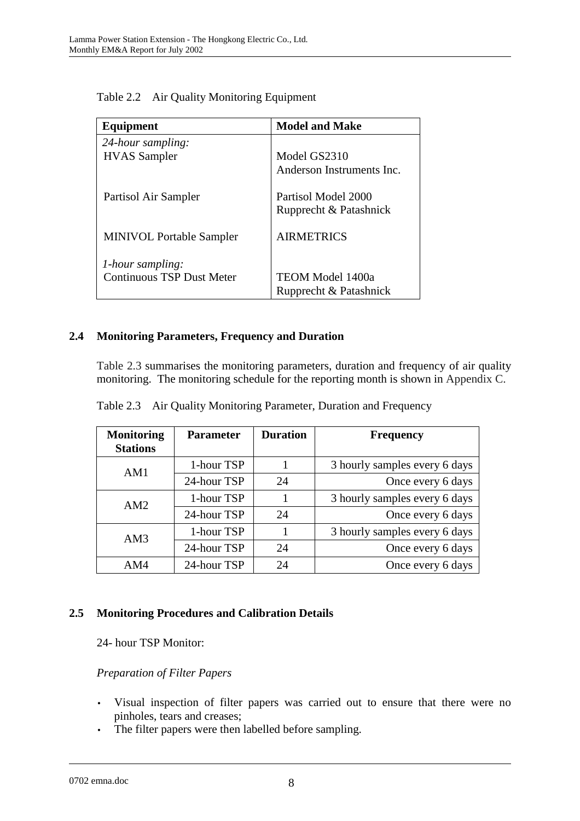| Equipment                        | <b>Model and Make</b>     |  |
|----------------------------------|---------------------------|--|
| 24-hour sampling:                |                           |  |
| <b>HVAS</b> Sampler              | Model GS2310              |  |
|                                  | Anderson Instruments Inc. |  |
| Partisol Air Sampler             | Partisol Model 2000       |  |
|                                  | Rupprecht & Patashnick    |  |
| <b>MINIVOL Portable Sampler</b>  | <b>AIRMETRICS</b>         |  |
| <i>l</i> -hour sampling:         |                           |  |
| <b>Continuous TSP Dust Meter</b> | <b>TEOM Model 1400a</b>   |  |
|                                  | Rupprecht & Patashnick    |  |

Table 2.2 Air Quality Monitoring Equipment

# **2.4 Monitoring Parameters, Frequency and Duration**

Table 2.3 summarises the monitoring parameters, duration and frequency of air quality monitoring. The monitoring schedule for the reporting month is shown in Appendix C.

| <b>Monitoring</b><br><b>Stations</b> | <b>Parameter</b> | <b>Duration</b> | <b>Frequency</b>              |
|--------------------------------------|------------------|-----------------|-------------------------------|
| AM1                                  | 1-hour TSP       |                 | 3 hourly samples every 6 days |
|                                      | 24-hour TSP      | 24              | Once every 6 days             |
| AM2                                  | 1-hour TSP       |                 | 3 hourly samples every 6 days |
|                                      | 24-hour TSP      | 24              | Once every 6 days             |
| AM3                                  | 1-hour TSP       |                 | 3 hourly samples every 6 days |
|                                      | 24-hour TSP      | 24              | Once every 6 days             |
| AM4                                  | 24-hour TSP      | 24              | Once every 6 days             |

Table 2.3 Air Quality Monitoring Parameter, Duration and Frequency

## **2.5 Monitoring Procedures and Calibration Details**

24- hour TSP Monitor:

## *Preparation of Filter Papers*

- Visual inspection of filter papers was carried out to ensure that there were no pinholes, tears and creases;
- The filter papers were then labelled before sampling.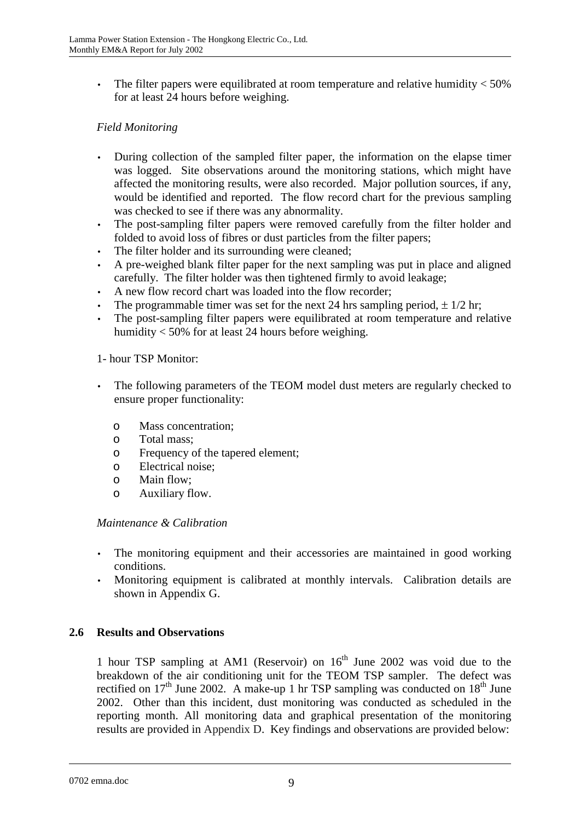• The filter papers were equilibrated at room temperature and relative humidity  $<$  50% for at least 24 hours before weighing.

# *Field Monitoring*

- During collection of the sampled filter paper, the information on the elapse timer was logged. Site observations around the monitoring stations, which might have affected the monitoring results, were also recorded. Major pollution sources, if any, would be identified and reported. The flow record chart for the previous sampling was checked to see if there was any abnormality.
- The post-sampling filter papers were removed carefully from the filter holder and folded to avoid loss of fibres or dust particles from the filter papers;
- The filter holder and its surrounding were cleaned;
- A pre-weighed blank filter paper for the next sampling was put in place and aligned carefully. The filter holder was then tightened firmly to avoid leakage;
- A new flow record chart was loaded into the flow recorder;
- The programmable timer was set for the next 24 hrs sampling period,  $\pm$  1/2 hr;
- The post-sampling filter papers were equilibrated at room temperature and relative humidity < 50% for at least 24 hours before weighing.

### 1- hour TSP Monitor:

- The following parameters of the TEOM model dust meters are regularly checked to ensure proper functionality:
	- o Mass concentration;
	- o Total mass;
	- o Frequency of the tapered element;
	- o Electrical noise;
	- o Main flow;
	- o Auxiliary flow.

#### *Maintenance & Calibration*

- The monitoring equipment and their accessories are maintained in good working conditions.
- Monitoring equipment is calibrated at monthly intervals. Calibration details are shown in Appendix G.

#### **2.6 Results and Observations**

1 hour TSP sampling at AM1 (Reservoir) on  $16<sup>th</sup>$  June 2002 was void due to the breakdown of the air conditioning unit for the TEOM TSP sampler. The defect was rectified on  $17<sup>th</sup>$  June 2002. A make-up 1 hr TSP sampling was conducted on  $18<sup>th</sup>$  June 2002. Other than this incident, dust monitoring was conducted as scheduled in the reporting month. All monitoring data and graphical presentation of the monitoring results are provided in Appendix D. Key findings and observations are provided below: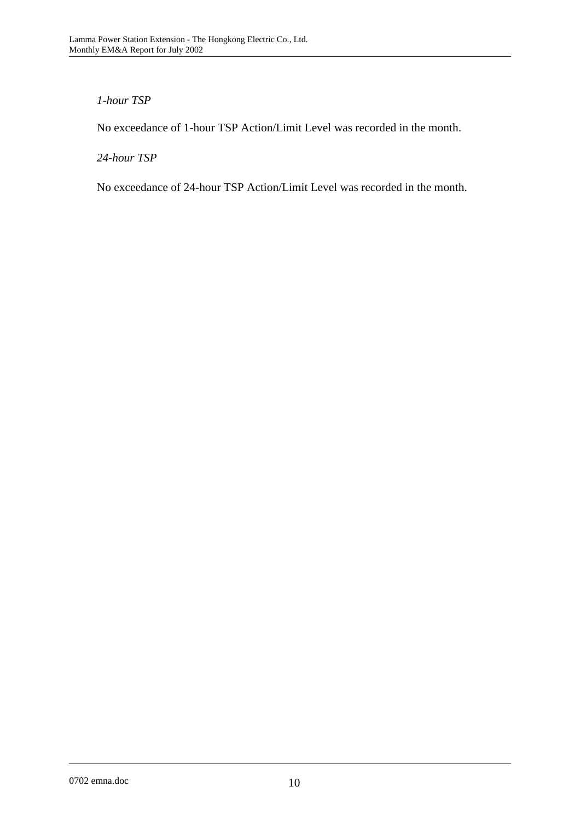# *1-hour TSP*

No exceedance of 1-hour TSP Action/Limit Level was recorded in the month.

*24-hour TSP* 

No exceedance of 24-hour TSP Action/Limit Level was recorded in the month.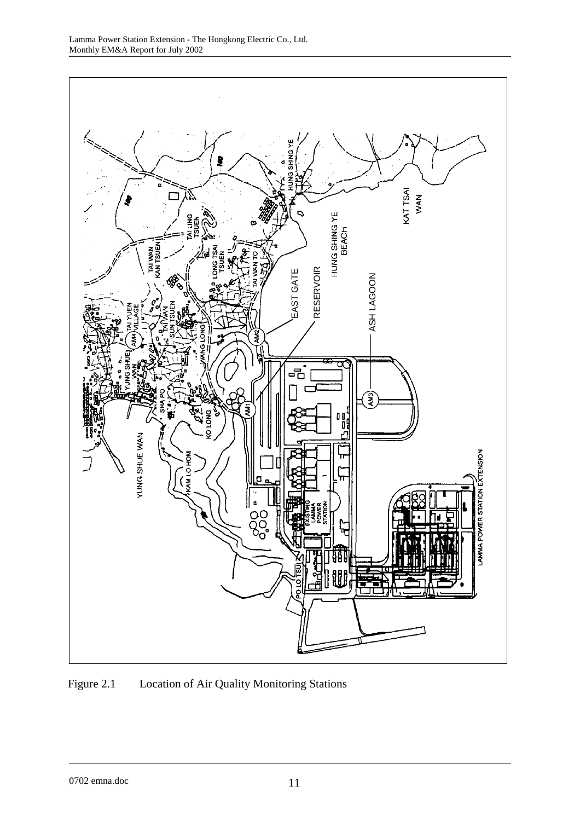

Figure 2.1 Location of Air Quality Monitoring Stations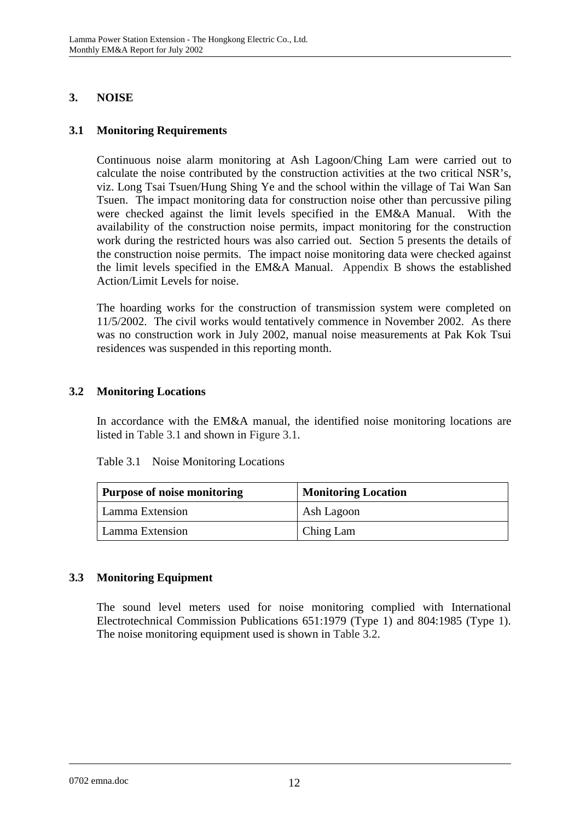# **3. NOISE**

# **3.1 Monitoring Requirements**

Continuous noise alarm monitoring at Ash Lagoon/Ching Lam were carried out to calculate the noise contributed by the construction activities at the two critical NSR's, viz. Long Tsai Tsuen/Hung Shing Ye and the school within the village of Tai Wan San Tsuen. The impact monitoring data for construction noise other than percussive piling were checked against the limit levels specified in the EM&A Manual. With the availability of the construction noise permits, impact monitoring for the construction work during the restricted hours was also carried out. Section 5 presents the details of the construction noise permits. The impact noise monitoring data were checked against the limit levels specified in the EM&A Manual. Appendix B shows the established Action/Limit Levels for noise.

The hoarding works for the construction of transmission system were completed on 11/5/2002. The civil works would tentatively commence in November 2002. As there was no construction work in July 2002, manual noise measurements at Pak Kok Tsui residences was suspended in this reporting month.

## **3.2 Monitoring Locations**

In accordance with the EM&A manual, the identified noise monitoring locations are listed in Table 3.1 and shown in Figure 3.1.

| <b>Purpose of noise monitoring</b> | <b>Monitoring Location</b> |
|------------------------------------|----------------------------|
| Lamma Extension                    | Ash Lagoon                 |
| Lamma Extension                    | Ching Lam                  |

Table 3.1 Noise Monitoring Locations

# **3.3 Monitoring Equipment**

The sound level meters used for noise monitoring complied with International Electrotechnical Commission Publications 651:1979 (Type 1) and 804:1985 (Type 1). The noise monitoring equipment used is shown in Table 3.2.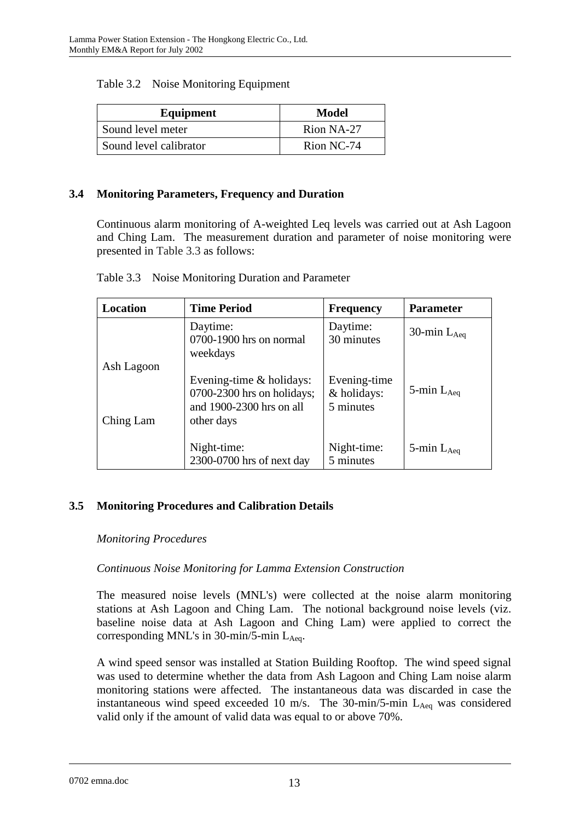| Equipment              | Model      |
|------------------------|------------|
| Sound level meter      | Rion NA-27 |
| Sound level calibrator | Rion NC-74 |

### **3.4 Monitoring Parameters, Frequency and Duration**

Continuous alarm monitoring of A-weighted Leq levels was carried out at Ash Lagoon and Ching Lam. The measurement duration and parameter of noise monitoring were presented in Table 3.3 as follows:

| Location                | <b>Time Period</b>                                                                                   | <b>Frequency</b>                         | <b>Parameter</b>   |
|-------------------------|------------------------------------------------------------------------------------------------------|------------------------------------------|--------------------|
|                         | Daytime:<br>0700-1900 hrs on normal<br>weekdays                                                      | Daytime:<br>30 minutes                   | 30-min $L_{Aea}$   |
| Ash Lagoon<br>Ching Lam | Evening-time $&$ holidays:<br>$0700-2300$ hrs on holidays;<br>and 1900-2300 hrs on all<br>other days | Evening-time<br>& holidays:<br>5 minutes | 5-min $L_{Aeq}$    |
|                         | Night-time:<br>2300-0700 hrs of next day                                                             | Night-time:<br>5 minutes                 | $5$ -min $L_{Aeq}$ |

## **3.5 Monitoring Procedures and Calibration Details**

#### *Monitoring Procedures*

## *Continuous Noise Monitoring for Lamma Extension Construction*

The measured noise levels (MNL's) were collected at the noise alarm monitoring stations at Ash Lagoon and Ching Lam. The notional background noise levels (viz. baseline noise data at Ash Lagoon and Ching Lam) were applied to correct the corresponding MNL's in 30-min/5-min  $L_{Aea}$ .

A wind speed sensor was installed at Station Building Rooftop. The wind speed signal was used to determine whether the data from Ash Lagoon and Ching Lam noise alarm monitoring stations were affected. The instantaneous data was discarded in case the instantaneous wind speed exceeded 10 m/s. The 30-min/5-min  $L_{Aeq}$  was considered valid only if the amount of valid data was equal to or above 70%.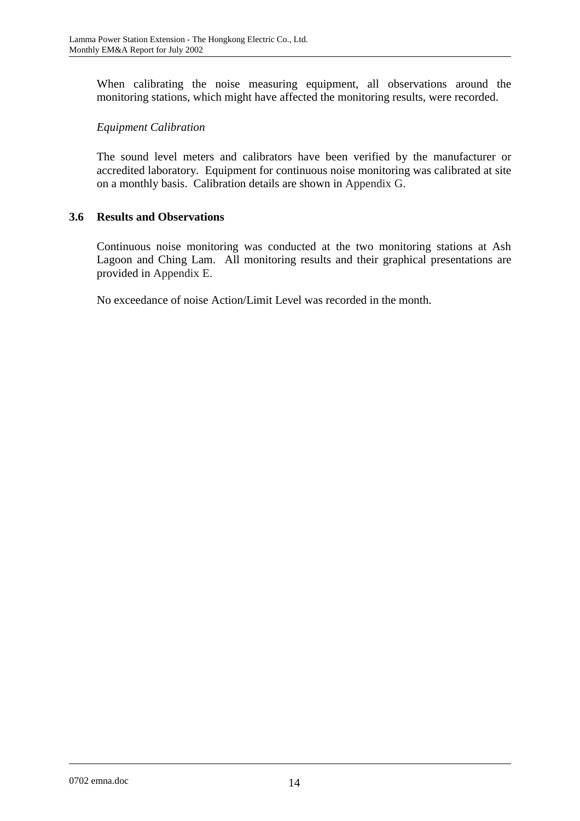When calibrating the noise measuring equipment, all observations around the monitoring stations, which might have affected the monitoring results, were recorded.

# *Equipment Calibration*

The sound level meters and calibrators have been verified by the manufacturer or accredited laboratory. Equipment for continuous noise monitoring was calibrated at site on a monthly basis. Calibration details are shown in Appendix G.

## **3.6 Results and Observations**

Continuous noise monitoring was conducted at the two monitoring stations at Ash Lagoon and Ching Lam. All monitoring results and their graphical presentations are provided in Appendix E.

No exceedance of noise Action/Limit Level was recorded in the month.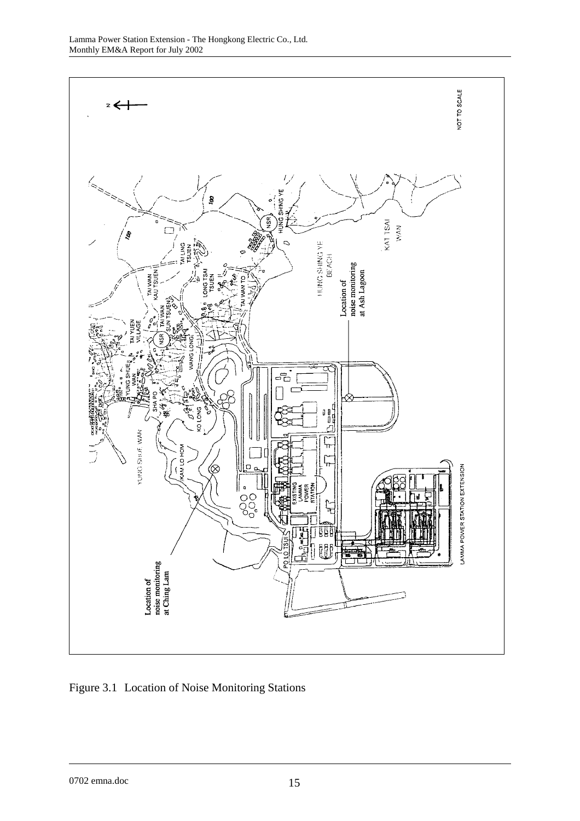

Figure 3.1 Location of Noise Monitoring Stations

0702 emna.doc 15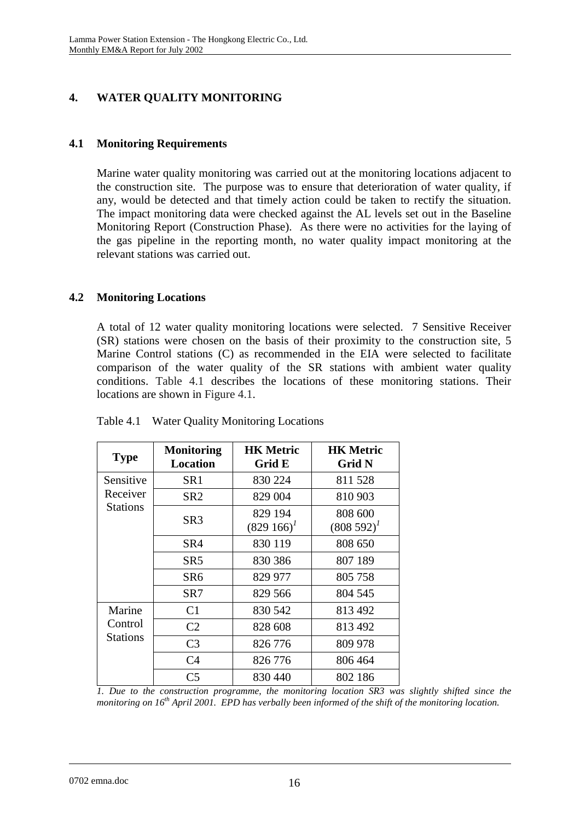# **4. WATER QUALITY MONITORING**

## **4.1 Monitoring Requirements**

Marine water quality monitoring was carried out at the monitoring locations adjacent to the construction site. The purpose was to ensure that deterioration of water quality, if any, would be detected and that timely action could be taken to rectify the situation. The impact monitoring data were checked against the AL levels set out in the Baseline Monitoring Report (Construction Phase). As there were no activities for the laying of the gas pipeline in the reporting month, no water quality impact monitoring at the relevant stations was carried out.

## **4.2 Monitoring Locations**

A total of 12 water quality monitoring locations were selected. 7 Sensitive Receiver (SR) stations were chosen on the basis of their proximity to the construction site, 5 Marine Control stations (C) as recommended in the EIA were selected to facilitate comparison of the water quality of the SR stations with ambient water quality conditions. Table 4.1 describes the locations of these monitoring stations. Their locations are shown in Figure 4.1.

| <b>Type</b>                | <b>Monitoring</b><br><b>Location</b> | <b>HK Metric</b><br>Grid E | <b>HK Metric</b><br><b>Grid N</b> |
|----------------------------|--------------------------------------|----------------------------|-----------------------------------|
| Sensitive                  | SR <sub>1</sub>                      | 830 224                    | 811 528                           |
| Receiver                   | SR <sub>2</sub>                      | 829 004                    | 810 903                           |
| <b>Stations</b>            | SR3                                  | 829 194<br>$(829\;166)^T$  | 808 600<br>$(808592)^{1}$         |
|                            | SR4                                  | 830 119                    | 808 650                           |
|                            | SR <sub>5</sub>                      | 830 386                    | 807 189                           |
|                            | SR <sub>6</sub>                      | 829 977                    | 805 758                           |
|                            | SR7                                  | 829 566                    | 804 545                           |
| Marine                     | C <sub>1</sub>                       | 830 542                    | 813 492                           |
| Control<br><b>Stations</b> | C <sub>2</sub>                       | 828 608                    | 813 492                           |
|                            | C <sub>3</sub>                       | 826 776                    | 809 978                           |
|                            | C <sub>4</sub>                       | 826 776                    | 806 464                           |
|                            | C <sub>5</sub>                       | 830 440                    | 802 186                           |

Table 4.1 Water Quality Monitoring Locations

*1. Due to the construction programme, the monitoring location SR3 was slightly shifted since the monitoring on 16th April 2001. EPD has verbally been informed of the shift of the monitoring location.*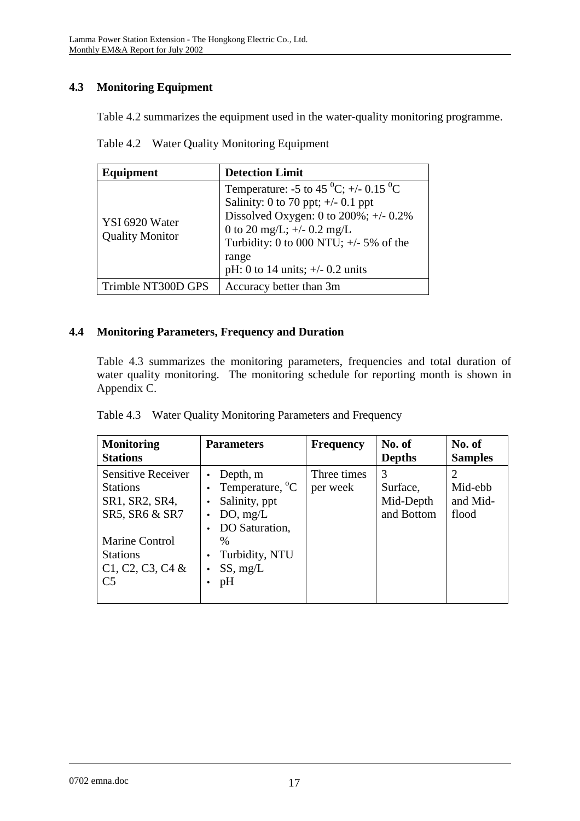# **4.3 Monitoring Equipment**

Table 4.2 summarizes the equipment used in the water-quality monitoring programme.

| Table 4.2 Water Quality Monitoring Equipment |  |
|----------------------------------------------|--|
|                                              |  |

| Equipment                                | <b>Detection Limit</b>                                                                                                                                                                                                                                                           |
|------------------------------------------|----------------------------------------------------------------------------------------------------------------------------------------------------------------------------------------------------------------------------------------------------------------------------------|
| YSI 6920 Water<br><b>Quality Monitor</b> | Temperature: -5 to 45 <sup>0</sup> C; +/- 0.15 <sup>0</sup> C<br>Salinity: 0 to 70 ppt; $\pm$ /- 0.1 ppt<br>Dissolved Oxygen: 0 to $200\%$ ; +/- 0.2%<br>0 to 20 mg/L; $+/-$ 0.2 mg/L<br>Turbidity: 0 to 000 NTU; $+/-$ 5% of the<br>range<br>pH: 0 to 14 units; $+/- 0.2$ units |
| Trimble NT300D GPS                       | Accuracy better than 3m                                                                                                                                                                                                                                                          |

## **4.4 Monitoring Parameters, Frequency and Duration**

Table 4.3 summarizes the monitoring parameters, frequencies and total duration of water quality monitoring. The monitoring schedule for reporting month is shown in Appendix C.

| <b>Monitoring</b><br><b>Stations</b>                                                                                                                          | <b>Parameters</b>                                                                                                                                        | <b>Frequency</b>        | No. of<br><b>Depths</b>                  | No. of<br><b>Samples</b>     |
|---------------------------------------------------------------------------------------------------------------------------------------------------------------|----------------------------------------------------------------------------------------------------------------------------------------------------------|-------------------------|------------------------------------------|------------------------------|
| <b>Sensitive Receiver</b><br><b>Stations</b><br>SR1, SR2, SR4,<br>SR5, SR6 & SR7<br>Marine Control<br><b>Stations</b><br>$C1, C2, C3, C4$ &<br>C <sub>5</sub> | Depth, m<br>Temperature, <sup>o</sup> C<br>Salinity, ppt<br>DO, mg/L<br>DO Saturation,<br>$\frac{0}{0}$<br>Turbidity, NTU<br>SS, mg/L<br>$\bullet$<br>pH | Three times<br>per week | 3<br>Surface,<br>Mid-Depth<br>and Bottom | Mid-ebb<br>and Mid-<br>flood |

|  |  |  | Table 4.3 Water Quality Monitoring Parameters and Frequency |  |
|--|--|--|-------------------------------------------------------------|--|
|--|--|--|-------------------------------------------------------------|--|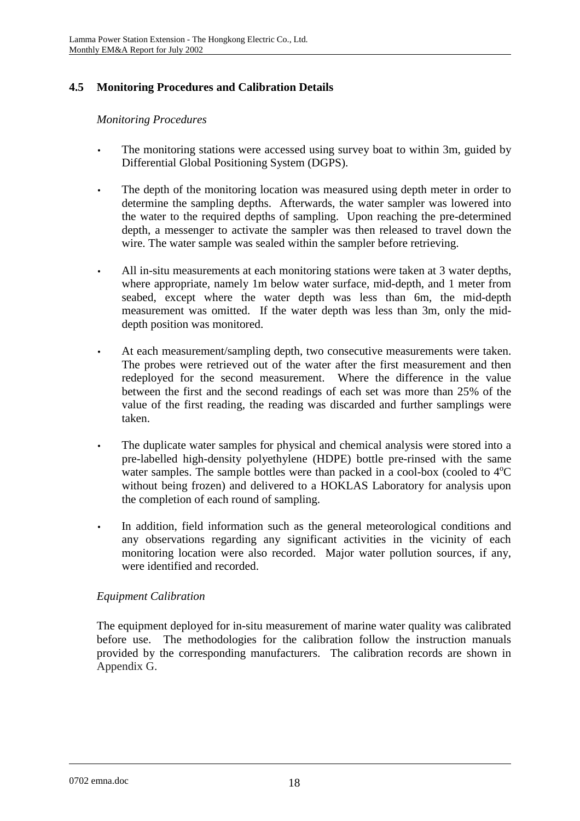# **4.5 Monitoring Procedures and Calibration Details**

### *Monitoring Procedures*

- The monitoring stations were accessed using survey boat to within 3m, guided by Differential Global Positioning System (DGPS).
- The depth of the monitoring location was measured using depth meter in order to determine the sampling depths. Afterwards, the water sampler was lowered into the water to the required depths of sampling. Upon reaching the pre-determined depth, a messenger to activate the sampler was then released to travel down the wire. The water sample was sealed within the sampler before retrieving.
- All in-situ measurements at each monitoring stations were taken at 3 water depths, where appropriate, namely 1m below water surface, mid-depth, and 1 meter from seabed, except where the water depth was less than 6m, the mid-depth measurement was omitted. If the water depth was less than 3m, only the middepth position was monitored.
- At each measurement/sampling depth, two consecutive measurements were taken. The probes were retrieved out of the water after the first measurement and then redeployed for the second measurement. Where the difference in the value between the first and the second readings of each set was more than 25% of the value of the first reading, the reading was discarded and further samplings were taken.
- The duplicate water samples for physical and chemical analysis were stored into a pre-labelled high-density polyethylene (HDPE) bottle pre-rinsed with the same water samples. The sample bottles were than packed in a cool-box (cooled to  $4^{\circ}C$ without being frozen) and delivered to a HOKLAS Laboratory for analysis upon the completion of each round of sampling.
- In addition, field information such as the general meteorological conditions and any observations regarding any significant activities in the vicinity of each monitoring location were also recorded. Major water pollution sources, if any, were identified and recorded.

## *Equipment Calibration*

The equipment deployed for in-situ measurement of marine water quality was calibrated before use. The methodologies for the calibration follow the instruction manuals provided by the corresponding manufacturers. The calibration records are shown in Appendix G.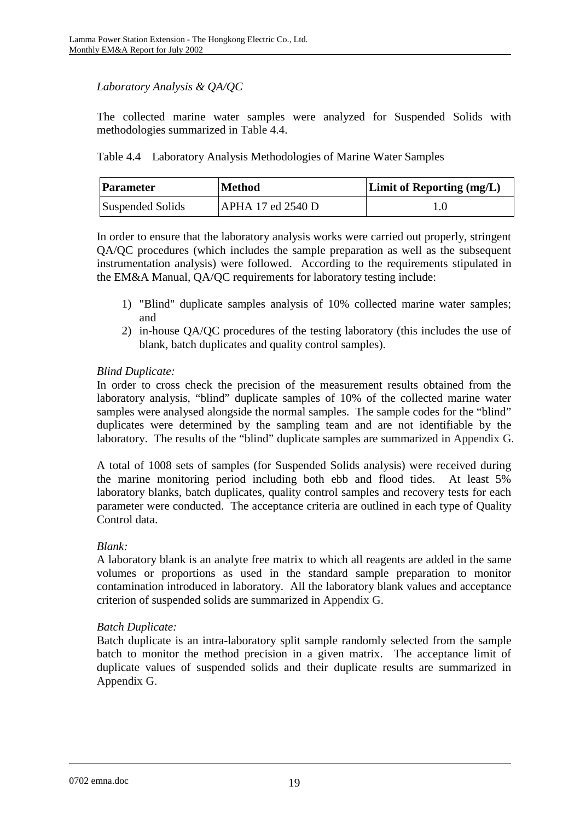# *Laboratory Analysis & QA/QC*

The collected marine water samples were analyzed for Suspended Solids with methodologies summarized in Table 4.4.

Table 4.4 Laboratory Analysis Methodologies of Marine Water Samples

| <b>Parameter</b> | <b>Method</b>     | <b>Limit of Reporting (mg/L)</b> |
|------------------|-------------------|----------------------------------|
| Suspended Solids | APHA 17 ed 2540 D |                                  |

In order to ensure that the laboratory analysis works were carried out properly, stringent QA/QC procedures (which includes the sample preparation as well as the subsequent instrumentation analysis) were followed. According to the requirements stipulated in the EM&A Manual, QA/QC requirements for laboratory testing include:

- 1) "Blind" duplicate samples analysis of 10% collected marine water samples; and
- 2) in-house QA/QC procedures of the testing laboratory (this includes the use of blank, batch duplicates and quality control samples).

# *Blind Duplicate:*

In order to cross check the precision of the measurement results obtained from the laboratory analysis, "blind" duplicate samples of 10% of the collected marine water samples were analysed alongside the normal samples. The sample codes for the "blind" duplicates were determined by the sampling team and are not identifiable by the laboratory. The results of the "blind" duplicate samples are summarized in Appendix G.

A total of 1008 sets of samples (for Suspended Solids analysis) were received during the marine monitoring period including both ebb and flood tides. At least 5% laboratory blanks, batch duplicates, quality control samples and recovery tests for each parameter were conducted. The acceptance criteria are outlined in each type of Quality Control data.

## *Blank:*

A laboratory blank is an analyte free matrix to which all reagents are added in the same volumes or proportions as used in the standard sample preparation to monitor contamination introduced in laboratory. All the laboratory blank values and acceptance criterion of suspended solids are summarized in Appendix G.

## *Batch Duplicate:*

Batch duplicate is an intra-laboratory split sample randomly selected from the sample batch to monitor the method precision in a given matrix. The acceptance limit of duplicate values of suspended solids and their duplicate results are summarized in Appendix G.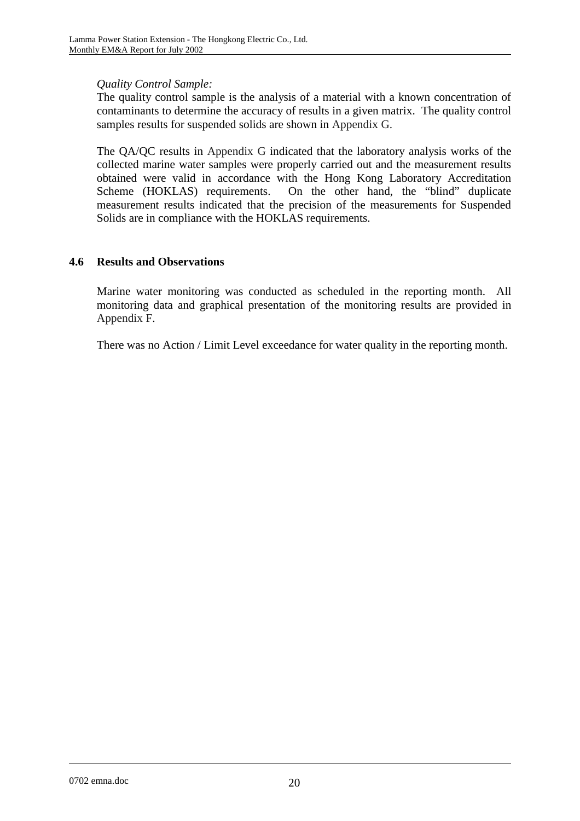## *Quality Control Sample:*

The quality control sample is the analysis of a material with a known concentration of contaminants to determine the accuracy of results in a given matrix. The quality control samples results for suspended solids are shown in Appendix G.

The QA/QC results in Appendix G indicated that the laboratory analysis works of the collected marine water samples were properly carried out and the measurement results obtained were valid in accordance with the Hong Kong Laboratory Accreditation Scheme (HOKLAS) requirements. On the other hand, the "blind" duplicate measurement results indicated that the precision of the measurements for Suspended Solids are in compliance with the HOKLAS requirements.

### **4.6 Results and Observations**

Marine water monitoring was conducted as scheduled in the reporting month. All monitoring data and graphical presentation of the monitoring results are provided in Appendix F.

There was no Action / Limit Level exceedance for water quality in the reporting month.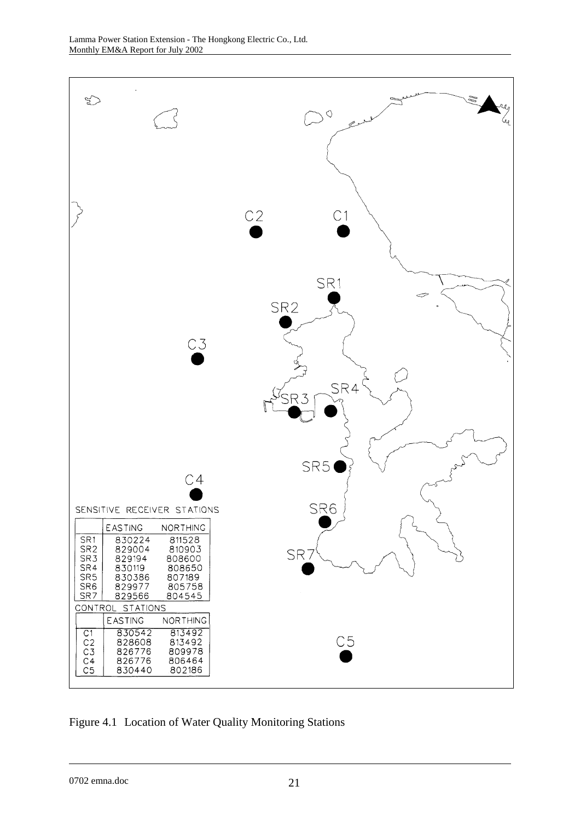

Figure 4.1 Location of Water Quality Monitoring Stations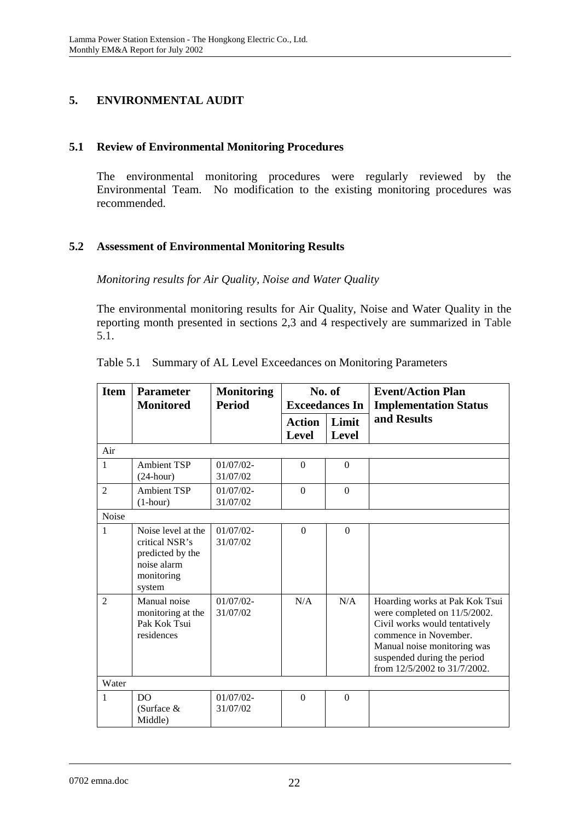# **5. ENVIRONMENTAL AUDIT**

# **5.1 Review of Environmental Monitoring Procedures**

The environmental monitoring procedures were regularly reviewed by the Environmental Team. No modification to the existing monitoring procedures was recommended.

# **5.2 Assessment of Environmental Monitoring Results**

*Monitoring results for Air Quality, Noise and Water Quality* 

The environmental monitoring results for Air Quality, Noise and Water Quality in the reporting month presented in sections 2,3 and 4 respectively are summarized in Table 5.1.

| <b>Item</b>    | <b>Parameter</b><br><b>Monitored</b>                                                            | <b>Monitoring</b><br><b>Period</b> | No. of<br><b>Exceedances In</b> |                       | <b>Event/Action Plan</b><br><b>Implementation Status</b>                                                                                                                                                               |
|----------------|-------------------------------------------------------------------------------------------------|------------------------------------|---------------------------------|-----------------------|------------------------------------------------------------------------------------------------------------------------------------------------------------------------------------------------------------------------|
|                |                                                                                                 |                                    | <b>Action</b><br><b>Level</b>   | Limit<br><b>Level</b> | and Results                                                                                                                                                                                                            |
| Air            |                                                                                                 |                                    |                                 |                       |                                                                                                                                                                                                                        |
| 1              | <b>Ambient TSP</b><br>$(24$ -hour)                                                              | $01/07/02 -$<br>31/07/02           | $\Omega$                        | $\Omega$              |                                                                                                                                                                                                                        |
| $\overline{2}$ | <b>Ambient TSP</b><br>$(1-hour)$                                                                | $01/07/02 -$<br>31/07/02           | $\Omega$                        | $\Omega$              |                                                                                                                                                                                                                        |
| Noise          |                                                                                                 |                                    |                                 |                       |                                                                                                                                                                                                                        |
| $\mathbf{1}$   | Noise level at the<br>critical NSR's<br>predicted by the<br>noise alarm<br>monitoring<br>system | $01/07/02$ -<br>31/07/02           | $\Omega$                        | $\Omega$              |                                                                                                                                                                                                                        |
| $\mathfrak{D}$ | Manual noise<br>monitoring at the<br>Pak Kok Tsui<br>residences                                 | $01/07/02$ -<br>31/07/02           | N/A                             | N/A                   | Hoarding works at Pak Kok Tsui<br>were completed on 11/5/2002.<br>Civil works would tentatively<br>commence in November.<br>Manual noise monitoring was<br>suspended during the period<br>from 12/5/2002 to 31/7/2002. |
| Water          |                                                                                                 |                                    |                                 |                       |                                                                                                                                                                                                                        |
| $\mathbf{1}$   | D <sub>O</sub><br>(Surface $&$<br>Middle)                                                       | $01/07/02 -$<br>31/07/02           | $\Omega$                        | $\Omega$              |                                                                                                                                                                                                                        |

Table 5.1 Summary of AL Level Exceedances on Monitoring Parameters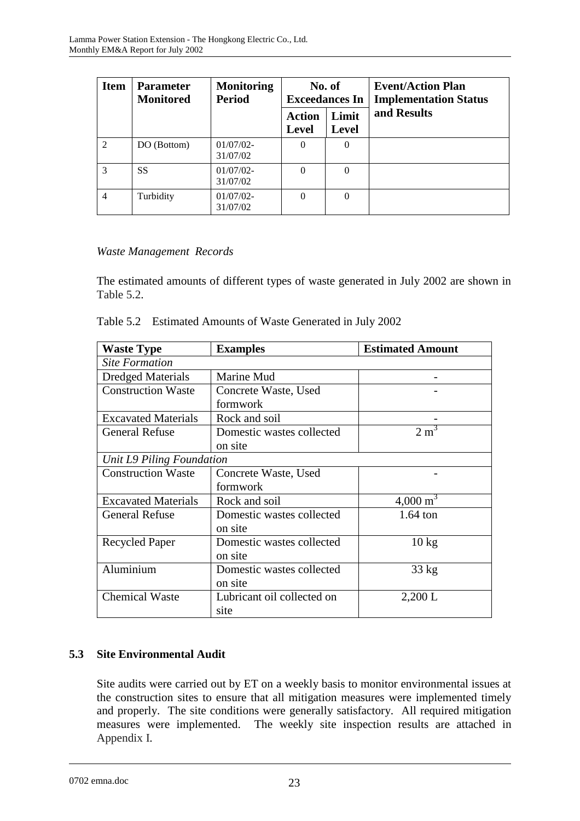| <b>Item</b>    | <b>Parameter</b><br><b>Monitored</b> | <b>Monitoring</b><br><b>Period</b> | No. of<br><b>Exceedances In</b> |                       | <b>Event/Action Plan</b><br><b>Implementation Status</b> |
|----------------|--------------------------------------|------------------------------------|---------------------------------|-----------------------|----------------------------------------------------------|
|                |                                      |                                    | <b>Action</b><br><b>Level</b>   | Limit<br><b>Level</b> | and Results                                              |
| $\mathfrak{D}$ | DO (Bottom)                          | $01/07/02$ -<br>31/07/02           | $\Omega$                        | $\Omega$              |                                                          |
| $\mathcal{R}$  | <b>SS</b>                            | $01/07/02$ -<br>31/07/02           | $\Omega$                        | $\Omega$              |                                                          |
| $\overline{4}$ | Turbidity                            | $01/07/02$ -<br>31/07/02           | $\Omega$                        | $\theta$              |                                                          |

# *Waste Management Records*

The estimated amounts of different types of waste generated in July 2002 are shown in Table 5.2.

| Table 5.2 Estimated Amounts of Waste Generated in July 2002 |
|-------------------------------------------------------------|
|                                                             |

| <b>Waste Type</b>          | <b>Examples</b>            | <b>Estimated Amount</b> |  |  |
|----------------------------|----------------------------|-------------------------|--|--|
| <b>Site Formation</b>      |                            |                         |  |  |
| <b>Dredged Materials</b>   | Marine Mud                 |                         |  |  |
| <b>Construction Waste</b>  | Concrete Waste, Used       |                         |  |  |
|                            | formwork                   |                         |  |  |
| <b>Excavated Materials</b> | Rock and soil              |                         |  |  |
| <b>General Refuse</b>      | Domestic wastes collected  | $2 \text{ m}^3$         |  |  |
|                            | on site                    |                         |  |  |
| Unit L9 Piling Foundation  |                            |                         |  |  |
| <b>Construction Waste</b>  | Concrete Waste, Used       |                         |  |  |
|                            | formwork                   |                         |  |  |
| <b>Excavated Materials</b> | Rock and soil              | $4,000 \text{ m}^3$     |  |  |
| <b>General Refuse</b>      | Domestic wastes collected  | $1.64$ ton              |  |  |
|                            | on site                    |                         |  |  |
| <b>Recycled Paper</b>      | Domestic wastes collected  | $10 \text{ kg}$         |  |  |
|                            | on site                    |                         |  |  |
| Aluminium                  | Domestic wastes collected  | $33 \text{ kg}$         |  |  |
|                            | on site                    |                         |  |  |
| <b>Chemical Waste</b>      | Lubricant oil collected on | 2,200 L                 |  |  |
|                            | site                       |                         |  |  |

# **5.3 Site Environmental Audit**

Site audits were carried out by ET on a weekly basis to monitor environmental issues at the construction sites to ensure that all mitigation measures were implemented timely and properly. The site conditions were generally satisfactory. All required mitigation measures were implemented. The weekly site inspection results are attached in Appendix I.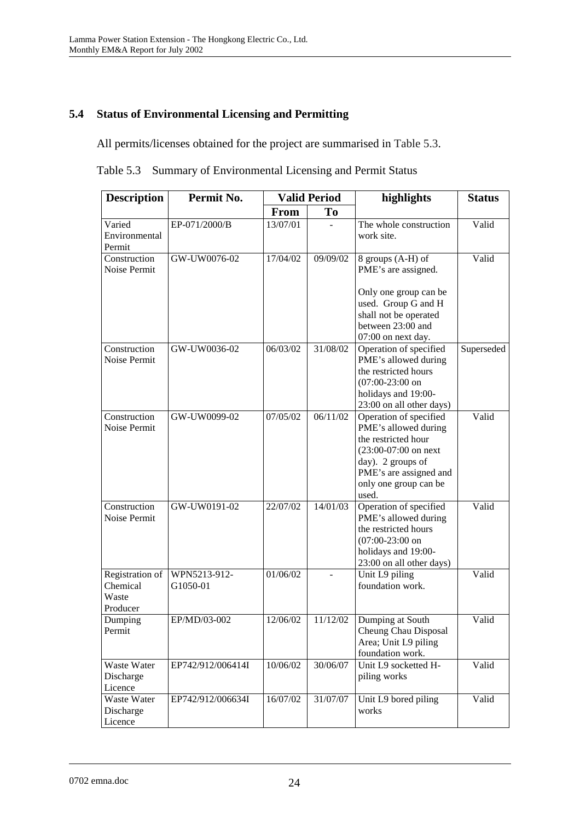# **5.4 Status of Environmental Licensing and Permitting**

All permits/licenses obtained for the project are summarised in Table 5.3.

Table 5.3 Summary of Environmental Licensing and Permit Status

| <b>Description</b>                               | Permit No.<br><b>Valid Period</b> |             | highlights     | <b>Status</b>                                                                                                                                                                     |            |
|--------------------------------------------------|-----------------------------------|-------------|----------------|-----------------------------------------------------------------------------------------------------------------------------------------------------------------------------------|------------|
|                                                  |                                   | <b>From</b> | T <sub>0</sub> |                                                                                                                                                                                   |            |
| Varied<br>Environmental<br>Permit                | EP-071/2000/B                     | 13/07/01    |                | The whole construction<br>work site.                                                                                                                                              | Valid      |
| Construction<br>Noise Permit                     | GW-UW0076-02                      | 17/04/02    | 09/09/02       | 8 groups (A-H) of<br>PME's are assigned.<br>Only one group can be<br>used. Group G and H<br>shall not be operated<br>between 23:00 and                                            | Valid      |
| Construction<br>Noise Permit                     | GW-UW0036-02                      | 06/03/02    | 31/08/02       | 07:00 on next day.<br>Operation of specified<br>PME's allowed during<br>the restricted hours<br>$(07:00-23:00)$ on<br>holidays and 19:00-<br>23:00 on all other days)             | Superseded |
| Construction<br>Noise Permit                     | GW-UW0099-02                      | 07/05/02    | 06/11/02       | Operation of specified<br>PME's allowed during<br>the restricted hour<br>$(23:00-07:00)$ on next<br>day). 2 groups of<br>PME's are assigned and<br>only one group can be<br>used. | Valid      |
| Construction<br>Noise Permit                     | GW-UW0191-02                      | 22/07/02    | 14/01/03       | Operation of specified<br>PME's allowed during<br>the restricted hours<br>$(07:00-23:00)$ on<br>holidays and 19:00-<br>23:00 on all other days)                                   | Valid      |
| Registration of<br>Chemical<br>Waste<br>Producer | WPN5213-912-<br>G1050-01          | 01/06/02    |                | Unit L9 piling<br>foundation work.                                                                                                                                                | Valid      |
| Dumping<br>Permit                                | EP/MD/03-002                      | 12/06/02    | 11/12/02       | Dumping at South<br>Cheung Chau Disposal<br>Area; Unit L9 piling<br>foundation work.                                                                                              | Valid      |
| Waste Water<br>Discharge<br>Licence              | EP742/912/006414I                 | 10/06/02    | 30/06/07       | Unit L9 socketted H-<br>piling works                                                                                                                                              | Valid      |
| Waste Water<br>Discharge<br>Licence              | EP742/912/006634I                 | 16/07/02    | 31/07/07       | Unit L9 bored piling<br>works                                                                                                                                                     | Valid      |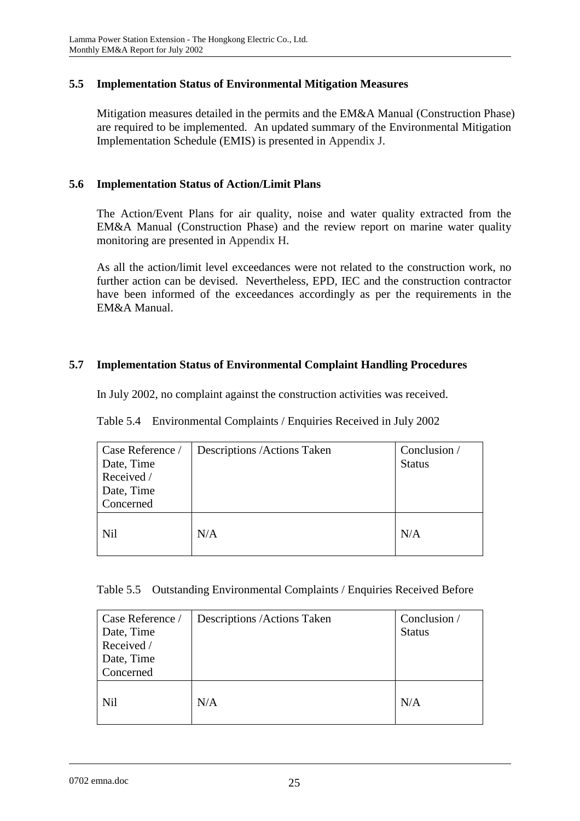## **5.5 Implementation Status of Environmental Mitigation Measures**

Mitigation measures detailed in the permits and the EM&A Manual (Construction Phase) are required to be implemented. An updated summary of the Environmental Mitigation Implementation Schedule (EMIS) is presented in Appendix J.

### **5.6 Implementation Status of Action/Limit Plans**

The Action/Event Plans for air quality, noise and water quality extracted from the EM&A Manual (Construction Phase) and the review report on marine water quality monitoring are presented in Appendix H.

As all the action/limit level exceedances were not related to the construction work, no further action can be devised. Nevertheless, EPD, IEC and the construction contractor have been informed of the exceedances accordingly as per the requirements in the EM&A Manual.

## **5.7 Implementation Status of Environmental Complaint Handling Procedures**

In July 2002, no complaint against the construction activities was received.

|  | Table 5.4 Environmental Complaints / Enquiries Received in July 2002 |  |  |  |  |
|--|----------------------------------------------------------------------|--|--|--|--|
|--|----------------------------------------------------------------------|--|--|--|--|

| Case Reference / | Descriptions / Actions Taken | Conclusion /  |
|------------------|------------------------------|---------------|
| Date, Time       |                              | <b>Status</b> |
| Received /       |                              |               |
| Date, Time       |                              |               |
| Concerned        |                              |               |
| <b>Nil</b>       | N/A                          | N/A           |

|  |  |  |  |  |  | Table 5.5 Outstanding Environmental Complaints / Enquiries Received Before |
|--|--|--|--|--|--|----------------------------------------------------------------------------|
|--|--|--|--|--|--|----------------------------------------------------------------------------|

| Case Reference /<br>Date, Time<br>Received /<br>Date, Time<br>Concerned | Descriptions / Actions Taken | Conclusion /<br><b>Status</b> |
|-------------------------------------------------------------------------|------------------------------|-------------------------------|
| <b>Nil</b>                                                              | N/A                          | N/A                           |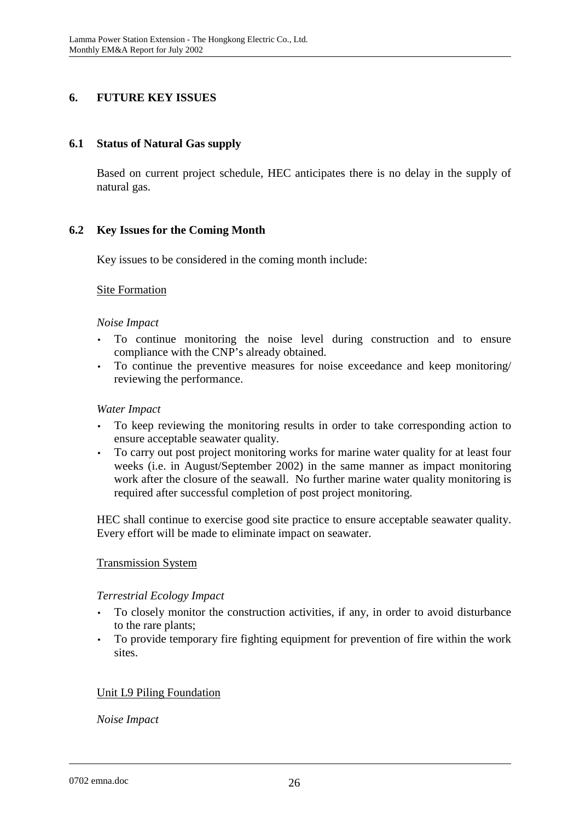# **6. FUTURE KEY ISSUES**

### **6.1 Status of Natural Gas supply**

Based on current project schedule, HEC anticipates there is no delay in the supply of natural gas.

## **6.2 Key Issues for the Coming Month**

Key issues to be considered in the coming month include:

### Site Formation

### *Noise Impact*

- To continue monitoring the noise level during construction and to ensure compliance with the CNP's already obtained.
- To continue the preventive measures for noise exceedance and keep monitoring/ reviewing the performance.

### *Water Impact*

- To keep reviewing the monitoring results in order to take corresponding action to ensure acceptable seawater quality.
- To carry out post project monitoring works for marine water quality for at least four weeks (i.e. in August/September 2002) in the same manner as impact monitoring work after the closure of the seawall. No further marine water quality monitoring is required after successful completion of post project monitoring.

HEC shall continue to exercise good site practice to ensure acceptable seawater quality. Every effort will be made to eliminate impact on seawater.

## Transmission System

#### *Terrestrial Ecology Impact*

- To closely monitor the construction activities, if any, in order to avoid disturbance to the rare plants;
- To provide temporary fire fighting equipment for prevention of fire within the work sites.

## Unit L9 Piling Foundation

*Noise Impact*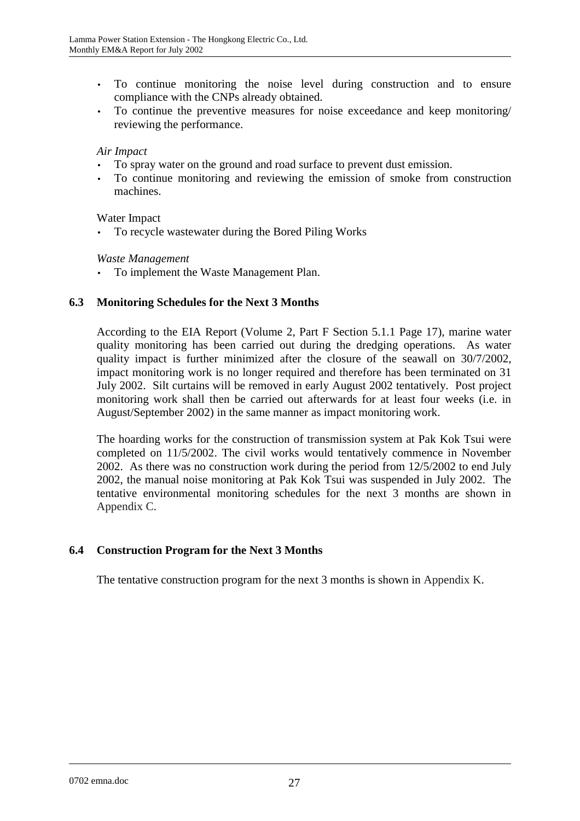- To continue monitoring the noise level during construction and to ensure compliance with the CNPs already obtained.
- To continue the preventive measures for noise exceedance and keep monitoring/ reviewing the performance.

#### *Air Impact*

- To spray water on the ground and road surface to prevent dust emission.
- To continue monitoring and reviewing the emission of smoke from construction machines.

### Water Impact

• To recycle wastewater during the Bored Piling Works

### *Waste Management*

• To implement the Waste Management Plan.

## **6.3 Monitoring Schedules for the Next 3 Months**

According to the EIA Report (Volume 2, Part F Section 5.1.1 Page 17), marine water quality monitoring has been carried out during the dredging operations. As water quality impact is further minimized after the closure of the seawall on 30/7/2002, impact monitoring work is no longer required and therefore has been terminated on 31 July 2002. Silt curtains will be removed in early August 2002 tentatively. Post project monitoring work shall then be carried out afterwards for at least four weeks (i.e. in August/September 2002) in the same manner as impact monitoring work.

The hoarding works for the construction of transmission system at Pak Kok Tsui were completed on 11/5/2002. The civil works would tentatively commence in November 2002. As there was no construction work during the period from 12/5/2002 to end July 2002, the manual noise monitoring at Pak Kok Tsui was suspended in July 2002. The tentative environmental monitoring schedules for the next 3 months are shown in Appendix C.

## **6.4 Construction Program for the Next 3 Months**

The tentative construction program for the next 3 months is shown in Appendix K.